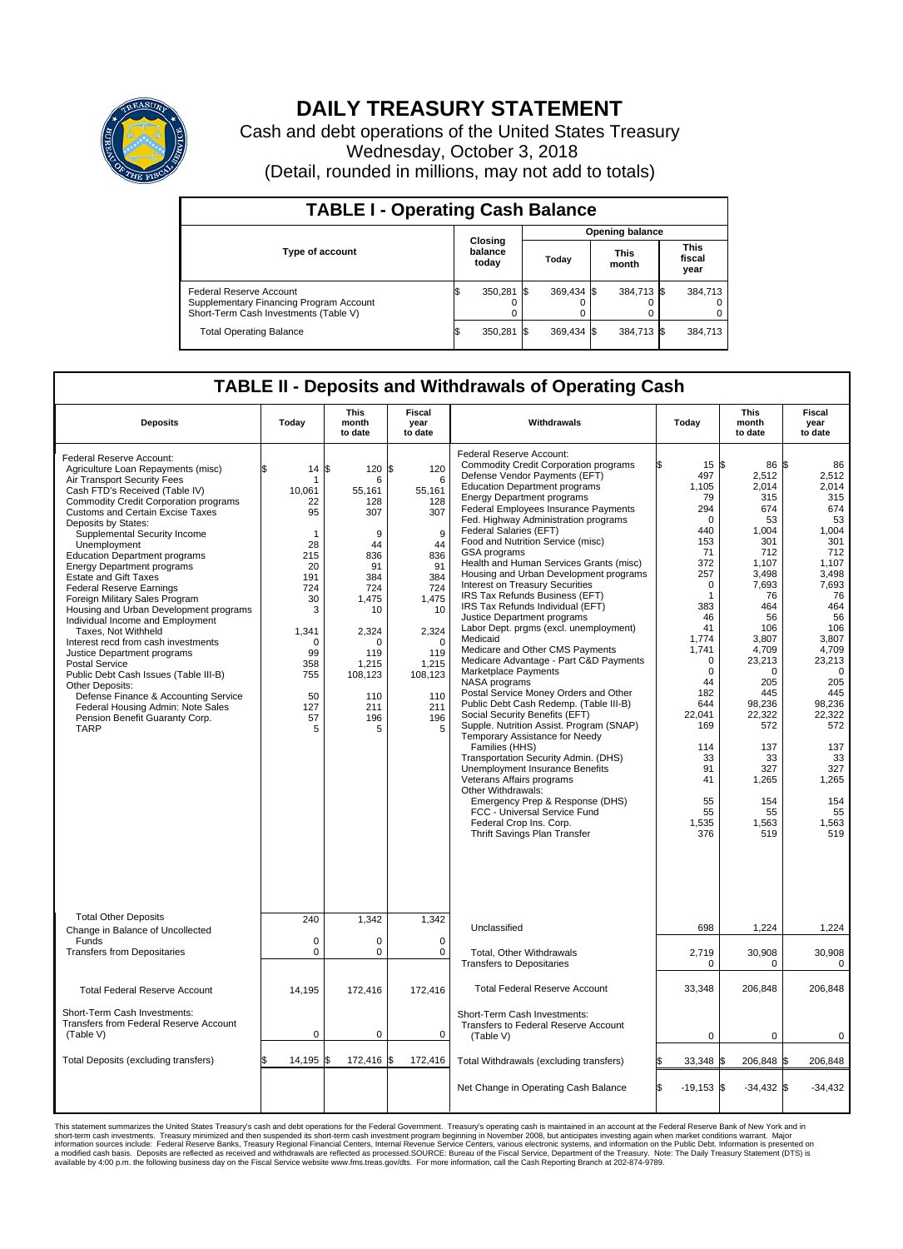

## **DAILY TREASURY STATEMENT**

Cash and debt operations of the United States Treasury Wednesday, October 3, 2018 (Detail, rounded in millions, may not add to totals)

| <b>TABLE I - Operating Cash Balance</b>                                                                     |    |                             |                        |            |  |                      |                               |         |  |  |
|-------------------------------------------------------------------------------------------------------------|----|-----------------------------|------------------------|------------|--|----------------------|-------------------------------|---------|--|--|
|                                                                                                             |    |                             | <b>Opening balance</b> |            |  |                      |                               |         |  |  |
| <b>Type of account</b>                                                                                      |    | Closing<br>balance<br>today |                        | Today      |  | <b>This</b><br>month | <b>This</b><br>fiscal<br>year |         |  |  |
| Federal Reserve Account<br>Supplementary Financing Program Account<br>Short-Term Cash Investments (Table V) |    | 350,281 \$                  |                        | 369.434 \$ |  | 384,713 \$           |                               | 384.713 |  |  |
| <b>Total Operating Balance</b>                                                                              | ΙФ | 350,281 \$                  |                        | 369.434 \$ |  | 384,713 \$           |                               | 384,713 |  |  |

## **TABLE II - Deposits and Withdrawals of Operating Cash**

| <b>Deposits</b>                                                                                                                                                                                                                                                                                                                                                                                                                                                                                                                                                                                                                                                                                                                                                                                                                                                            | Today                                                                                                                                      | <b>This</b><br>month<br>to date                                                                                                                                    | <b>Fiscal</b><br>year<br>to date                                                                                                                                   | Withdrawals                                                                                                                                                                                                                                                                                                                                                                                                                                                                                                                                                                                                                                                                                                                                                                                                                                                                                                                                                                                                                                                                                                                                                                                                                                                   | Today                                                                                                                                                                                                                                                                                              | <b>This</b><br>month<br>to date                                                                                                                                                                                                                                   | <b>Fiscal</b><br>year<br>to date                                                                                                                                                                                                                                   |  |
|----------------------------------------------------------------------------------------------------------------------------------------------------------------------------------------------------------------------------------------------------------------------------------------------------------------------------------------------------------------------------------------------------------------------------------------------------------------------------------------------------------------------------------------------------------------------------------------------------------------------------------------------------------------------------------------------------------------------------------------------------------------------------------------------------------------------------------------------------------------------------|--------------------------------------------------------------------------------------------------------------------------------------------|--------------------------------------------------------------------------------------------------------------------------------------------------------------------|--------------------------------------------------------------------------------------------------------------------------------------------------------------------|---------------------------------------------------------------------------------------------------------------------------------------------------------------------------------------------------------------------------------------------------------------------------------------------------------------------------------------------------------------------------------------------------------------------------------------------------------------------------------------------------------------------------------------------------------------------------------------------------------------------------------------------------------------------------------------------------------------------------------------------------------------------------------------------------------------------------------------------------------------------------------------------------------------------------------------------------------------------------------------------------------------------------------------------------------------------------------------------------------------------------------------------------------------------------------------------------------------------------------------------------------------|----------------------------------------------------------------------------------------------------------------------------------------------------------------------------------------------------------------------------------------------------------------------------------------------------|-------------------------------------------------------------------------------------------------------------------------------------------------------------------------------------------------------------------------------------------------------------------|--------------------------------------------------------------------------------------------------------------------------------------------------------------------------------------------------------------------------------------------------------------------|--|
| Federal Reserve Account:<br>Agriculture Loan Repayments (misc)<br>Air Transport Security Fees<br>Cash FTD's Received (Table IV)<br><b>Commodity Credit Corporation programs</b><br>Customs and Certain Excise Taxes<br>Deposits by States:<br>Supplemental Security Income<br>Unemployment<br><b>Education Department programs</b><br><b>Energy Department programs</b><br><b>Estate and Gift Taxes</b><br><b>Federal Reserve Earnings</b><br>Foreign Military Sales Program<br>Housing and Urban Development programs<br>Individual Income and Employment<br>Taxes. Not Withheld<br>Interest recd from cash investments<br>Justice Department programs<br><b>Postal Service</b><br>Public Debt Cash Issues (Table III-B)<br>Other Deposits:<br>Defense Finance & Accounting Service<br>Federal Housing Admin: Note Sales<br>Pension Benefit Guaranty Corp.<br><b>TARP</b> | \$.<br>14<br>10.061<br>22<br>95<br>1<br>28<br>215<br>20<br>191<br>724<br>30<br>3<br>1,341<br>0<br>99<br>358<br>755<br>50<br>127<br>57<br>5 | l\$<br>120 \$<br>6<br>55.161<br>128<br>307<br>9<br>44<br>836<br>91<br>384<br>724<br>1,475<br>10<br>2,324<br>O<br>119<br>1,215<br>108,123<br>110<br>211<br>196<br>5 | 120<br>6<br>55.161<br>128<br>307<br>9<br>44<br>836<br>91<br>384<br>724<br>1,475<br>10<br>2,324<br>$\mathbf 0$<br>119<br>1,215<br>108,123<br>110<br>211<br>196<br>5 | Federal Reserve Account:<br><b>Commodity Credit Corporation programs</b><br>Defense Vendor Payments (EFT)<br><b>Education Department programs</b><br><b>Energy Department programs</b><br><b>Federal Employees Insurance Payments</b><br>Fed. Highway Administration programs<br>Federal Salaries (EFT)<br>Food and Nutrition Service (misc)<br><b>GSA</b> programs<br>Health and Human Services Grants (misc)<br>Housing and Urban Development programs<br>Interest on Treasury Securities<br>IRS Tax Refunds Business (EFT)<br>IRS Tax Refunds Individual (EFT)<br>Justice Department programs<br>Labor Dept. prgms (excl. unemployment)<br>Medicaid<br>Medicare and Other CMS Payments<br>Medicare Advantage - Part C&D Payments<br>Marketplace Payments<br>NASA programs<br>Postal Service Money Orders and Other<br>Public Debt Cash Redemp. (Table III-B)<br>Social Security Benefits (EFT)<br>Supple. Nutrition Assist. Program (SNAP)<br>Temporary Assistance for Needy<br>Families (HHS)<br>Transportation Security Admin. (DHS)<br>Unemployment Insurance Benefits<br>Veterans Affairs programs<br>Other Withdrawals:<br>Emergency Prep & Response (DHS)<br>FCC - Universal Service Fund<br>Federal Crop Ins. Corp.<br>Thrift Savings Plan Transfer | $15 \text{ }$ $\text{S}$<br>ß.<br>497<br>1,105<br>79<br>294<br>$\Omega$<br>440<br>153<br>71<br>372<br>257<br>$\mathbf 0$<br>$\mathbf{1}$<br>383<br>46<br>41<br>1,774<br>1,741<br>$\mathbf 0$<br>$\Omega$<br>44<br>182<br>644<br>22.041<br>169<br>114<br>33<br>91<br>41<br>55<br>55<br>1,535<br>376 | 86 S<br>2,512<br>2,014<br>315<br>674<br>53<br>1,004<br>301<br>712<br>1,107<br>3,498<br>7,693<br>76<br>464<br>56<br>106<br>3,807<br>4,709<br>23,213<br>$\Omega$<br>205<br>445<br>98,236<br>22.322<br>572<br>137<br>33<br>327<br>1,265<br>154<br>55<br>1,563<br>519 | 86<br>2,512<br>2,014<br>315<br>674<br>53<br>1.004<br>301<br>712<br>1,107<br>3,498<br>7,693<br>76<br>464<br>56<br>106<br>3.807<br>4,709<br>23,213<br>$\mathbf 0$<br>205<br>445<br>98,236<br>22,322<br>572<br>137<br>33<br>327<br>1,265<br>154<br>55<br>1,563<br>519 |  |
| <b>Total Other Deposits</b>                                                                                                                                                                                                                                                                                                                                                                                                                                                                                                                                                                                                                                                                                                                                                                                                                                                | 240                                                                                                                                        | 1,342                                                                                                                                                              | 1,342                                                                                                                                                              | Unclassified                                                                                                                                                                                                                                                                                                                                                                                                                                                                                                                                                                                                                                                                                                                                                                                                                                                                                                                                                                                                                                                                                                                                                                                                                                                  | 698                                                                                                                                                                                                                                                                                                | 1,224                                                                                                                                                                                                                                                             | 1,224                                                                                                                                                                                                                                                              |  |
| Change in Balance of Uncollected<br>Funds<br><b>Transfers from Depositaries</b>                                                                                                                                                                                                                                                                                                                                                                                                                                                                                                                                                                                                                                                                                                                                                                                            | $\mathbf 0$<br>$\mathbf 0$                                                                                                                 | 0<br>0                                                                                                                                                             | $\mathbf 0$<br>$\mathbf 0$                                                                                                                                         |                                                                                                                                                                                                                                                                                                                                                                                                                                                                                                                                                                                                                                                                                                                                                                                                                                                                                                                                                                                                                                                                                                                                                                                                                                                               |                                                                                                                                                                                                                                                                                                    |                                                                                                                                                                                                                                                                   |                                                                                                                                                                                                                                                                    |  |
|                                                                                                                                                                                                                                                                                                                                                                                                                                                                                                                                                                                                                                                                                                                                                                                                                                                                            |                                                                                                                                            |                                                                                                                                                                    |                                                                                                                                                                    | Total, Other Withdrawals<br><b>Transfers to Depositaries</b>                                                                                                                                                                                                                                                                                                                                                                                                                                                                                                                                                                                                                                                                                                                                                                                                                                                                                                                                                                                                                                                                                                                                                                                                  | 2,719<br>$\mathbf 0$                                                                                                                                                                                                                                                                               | 30,908<br>$\Omega$                                                                                                                                                                                                                                                | 30,908<br>0                                                                                                                                                                                                                                                        |  |
| <b>Total Federal Reserve Account</b>                                                                                                                                                                                                                                                                                                                                                                                                                                                                                                                                                                                                                                                                                                                                                                                                                                       | 14,195                                                                                                                                     | 172,416                                                                                                                                                            | 172,416                                                                                                                                                            | <b>Total Federal Reserve Account</b>                                                                                                                                                                                                                                                                                                                                                                                                                                                                                                                                                                                                                                                                                                                                                                                                                                                                                                                                                                                                                                                                                                                                                                                                                          | 33,348                                                                                                                                                                                                                                                                                             | 206,848                                                                                                                                                                                                                                                           | 206,848                                                                                                                                                                                                                                                            |  |
| Short-Term Cash Investments:<br>Transfers from Federal Reserve Account<br>(Table V)                                                                                                                                                                                                                                                                                                                                                                                                                                                                                                                                                                                                                                                                                                                                                                                        | $\mathbf 0$                                                                                                                                | 0                                                                                                                                                                  | $\mathbf 0$                                                                                                                                                        | Short-Term Cash Investments:<br>Transfers to Federal Reserve Account<br>(Table V)                                                                                                                                                                                                                                                                                                                                                                                                                                                                                                                                                                                                                                                                                                                                                                                                                                                                                                                                                                                                                                                                                                                                                                             | $\mathbf 0$                                                                                                                                                                                                                                                                                        | $\mathbf 0$                                                                                                                                                                                                                                                       | 0                                                                                                                                                                                                                                                                  |  |
| Total Deposits (excluding transfers)                                                                                                                                                                                                                                                                                                                                                                                                                                                                                                                                                                                                                                                                                                                                                                                                                                       | 14,195                                                                                                                                     | 172,416 \$<br>l\$                                                                                                                                                  | 172,416                                                                                                                                                            | Total Withdrawals (excluding transfers)                                                                                                                                                                                                                                                                                                                                                                                                                                                                                                                                                                                                                                                                                                                                                                                                                                                                                                                                                                                                                                                                                                                                                                                                                       | 33,348 \$                                                                                                                                                                                                                                                                                          | 206,848 \$                                                                                                                                                                                                                                                        | 206,848                                                                                                                                                                                                                                                            |  |
|                                                                                                                                                                                                                                                                                                                                                                                                                                                                                                                                                                                                                                                                                                                                                                                                                                                                            |                                                                                                                                            |                                                                                                                                                                    |                                                                                                                                                                    | Net Change in Operating Cash Balance                                                                                                                                                                                                                                                                                                                                                                                                                                                                                                                                                                                                                                                                                                                                                                                                                                                                                                                                                                                                                                                                                                                                                                                                                          | Ŝ.<br>$-19,153$ \$                                                                                                                                                                                                                                                                                 | $-34,432$ \$                                                                                                                                                                                                                                                      | $-34,432$                                                                                                                                                                                                                                                          |  |

This statement summarizes the United States Treasury's cash and debt operations for the Federal Government. Treasury's operating in November 2008, but anticingates investment summarket conditions warrant. Major<br>short-term